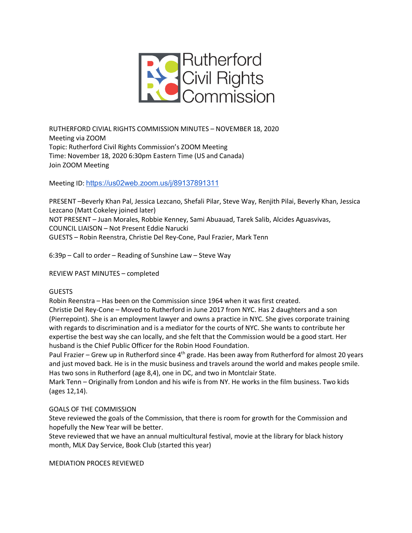

RUTHERFORD CIVIAL RIGHTS COMMISSION MINUTES – NOVEMBER 18, 2020 Meeting via ZOOM Topic: Rutherford Civil Rights Commission's ZOOM Meeting Time: November 18, 2020 6:30pm Eastern Time (US and Canada) Join ZOOM Meeting

Meeting ID: https://us02web.zoom.us/j/89137891311

PRESENT –Beverly Khan Pal, Jessica Lezcano, Shefali Pilar, Steve Way, Renjith Pilai, Beverly Khan, Jessica Lezcano (Matt Cokeley joined later) NOT PRESENT – Juan Morales, Robbie Kenney, Sami Abuauad, Tarek Salib, Alcides Aguasvivas, COUNCIL LIAISON – Not Present Eddie Narucki GUESTS – Robin Reenstra, Christie Del Rey-Cone, Paul Frazier, Mark Tenn

6:39p – Call to order – Reading of Sunshine Law – Steve Way

REVIEW PAST MINUTES – completed

## GUESTS

Robin Reenstra – Has been on the Commission since 1964 when it was first created. Christie Del Rey-Cone – Moved to Rutherford in June 2017 from NYC. Has 2 daughters and a son (Pierrepoint). She is an employment lawyer and owns a practice in NYC. She gives corporate training with regards to discrimination and is a mediator for the courts of NYC. She wants to contribute her expertise the best way she can locally, and she felt that the Commission would be a good start. Her husband is the Chief Public Officer for the Robin Hood Foundation.

Paul Frazier – Grew up in Rutherford since 4<sup>th</sup> grade. Has been away from Rutherford for almost 20 years and just moved back. He is in the music business and travels around the world and makes people smile. Has two sons in Rutherford (age 8,4), one in DC, and two in Montclair State.

Mark Tenn – Originally from London and his wife is from NY. He works in the film business. Two kids (ages 12,14).

## GOALS OF THE COMMISSION

Steve reviewed the goals of the Commission, that there is room for growth for the Commission and hopefully the New Year will be better.

Steve reviewed that we have an annual multicultural festival, movie at the library for black history month, MLK Day Service, Book Club (started this year)

MEDIATION PROCES REVIEWED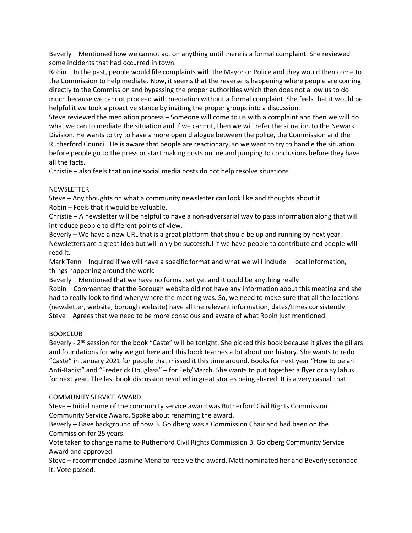Beverly – Mentioned how we cannot act on anything until there is a formal complaint. She reviewed some incidents that had occurred in town.

Robin – In the past, people would file complaints with the Mayor or Police and they would then come to the Commission to help mediate. Now, it seems that the reverse is happening where people are coming directly to the Commission and bypassing the proper authorities which then does not allow us to do much because we cannot proceed with mediation without a formal complaint. She feels that it would be helpful it we took a proactive stance by inviting the proper groups into a discussion.

Steve reviewed the mediation process – Someone will come to us with a complaint and then we will do what we can to mediate the situation and if we cannot, then we will refer the situation to the Newark Division. He wants to try to have a more open dialogue between the police, the Commission and the Rutherford Council. He is aware that people are reactionary, so we want to try to handle the situation before people go to the press or start making posts online and jumping to conclusions before they have all the facts.

Christie – also feels that online social media posts do not help resolve situations

#### NEWSLETTER

Steve – Any thoughts on what a community newsletter can look like and thoughts about it Robin – Feels that it would be valuable.

Christie – A newsletter will be helpful to have a non-adversarial way to pass information along that will introduce people to different points of view.

Beverly – We have a new URL that is a great platform that should be up and running by next year. Newsletters are a great idea but will only be successful if we have people to contribute and people will read it.

Mark Tenn – Inquired if we will have a specific format and what we will include – local information, things happening around the world

Beverly – Mentioned that we have no format set yet and it could be anything really

Robin – Commented that the Borough website did not have any information about this meeting and she had to really look to find when/where the meeting was. So, we need to make sure that all the locations (newsletter, website, borough website) have all the relevant information, dates/times consistently. Steve – Agrees that we need to be more conscious and aware of what Robin just mentioned.

## BOOKCLUB

Beverly - 2<sup>nd</sup> session for the book "Caste" will be tonight. She picked this book because it gives the pillars and foundations for why we got here and this book teaches a lot about our history. She wants to redo "Caste" in January 2021 for people that missed it this time around. Books for next year "How to be an Anti-Racist" and "Frederick Douglass" – for Feb/March. She wants to put together a flyer or a syllabus for next year. The last book discussion resulted in great stories being shared. It is a very casual chat.

#### COMMUNITY SERVICE AWARD

Steve – Initial name of the community service award was Rutherford Civil Rights Commission Community Service Award. Spoke about renaming the award.

Beverly – Gave background of how B. Goldberg was a Commission Chair and had been on the Commission for 25 years.

Vote taken to change name to Rutherford Civil Rights Commission B. Goldberg Community Service Award and approved.

Steve – recommended Jasmine Mena to receive the award. Matt nominated her and Beverly seconded it. Vote passed.